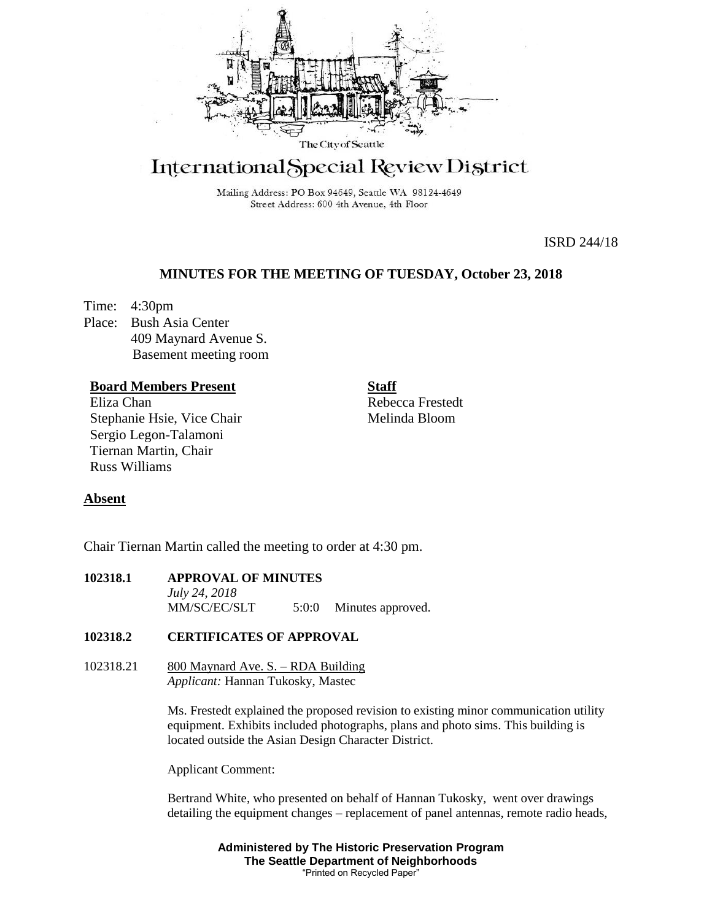

# International Special Review District

Mailing Address: PO Box 94649, Seattle WA 98124-4649 Street Address: 600 4th Avenue, 4th Floor

ISRD 244/18

# **MINUTES FOR THE MEETING OF TUESDAY, October 23, 2018**

Time: 4:30pm Place: Bush Asia Center 409 Maynard Avenue S. Basement meeting room

# **Board Members Present**

Eliza Chan Stephanie Hsie, Vice Chair Sergio Legon-Talamoni Tiernan Martin, Chair Russ Williams

Rebecca Frestedt Melinda Bloom

**Staff**

# **Absent**

Chair Tiernan Martin called the meeting to order at 4:30 pm.

# **102318.1 APPROVAL OF MINUTES** *July 24, 2018*  MM/SC/EC/SLT 5:0:0 Minutes approved.

# **102318.2 CERTIFICATES OF APPROVAL**

 $102318.21$  800 Maynard Ave. S. – RDA Building *Applicant:* Hannan Tukosky, Mastec

> Ms. Frestedt explained the proposed revision to existing minor communication utility equipment. Exhibits included photographs, plans and photo sims. This building is located outside the Asian Design Character District.

Applicant Comment:

Bertrand White, who presented on behalf of Hannan Tukosky, went over drawings detailing the equipment changes – replacement of panel antennas, remote radio heads,

> **Administered by The Historic Preservation Program The Seattle Department of Neighborhoods** "Printed on Recycled Paper"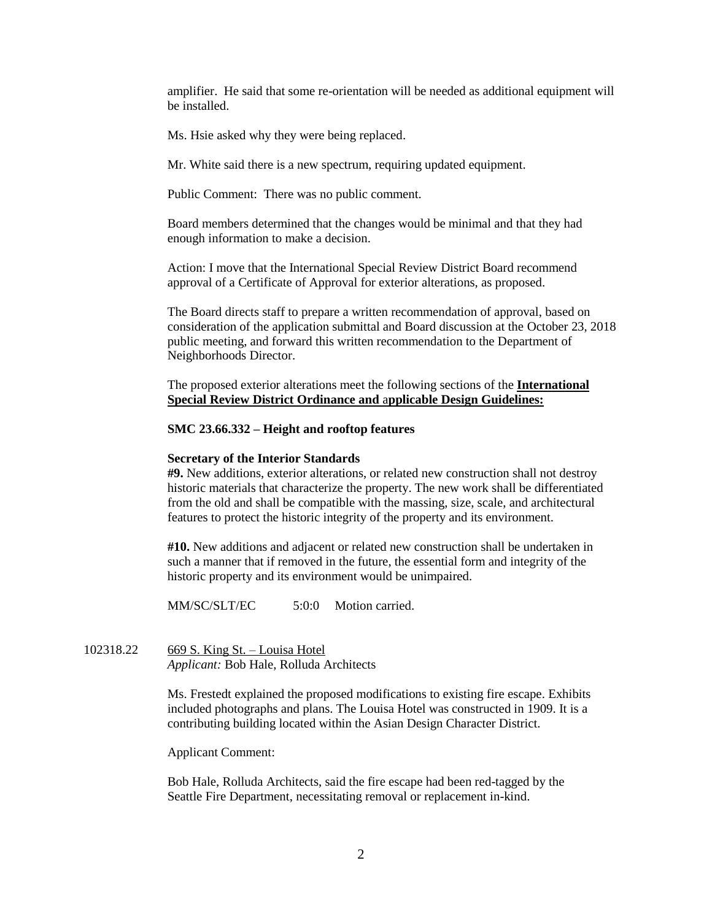amplifier. He said that some re-orientation will be needed as additional equipment will be installed.

Ms. Hsie asked why they were being replaced.

Mr. White said there is a new spectrum, requiring updated equipment.

Public Comment: There was no public comment.

Board members determined that the changes would be minimal and that they had enough information to make a decision.

Action: I move that the International Special Review District Board recommend approval of a Certificate of Approval for exterior alterations, as proposed.

The Board directs staff to prepare a written recommendation of approval, based on consideration of the application submittal and Board discussion at the October 23, 2018 public meeting, and forward this written recommendation to the Department of Neighborhoods Director.

The proposed exterior alterations meet the following sections of the **International Special Review District Ordinance and** a**pplicable Design Guidelines:**

### **SMC 23.66.332 – Height and rooftop features**

### **Secretary of the Interior Standards**

**#9.** New additions, exterior alterations, or related new construction shall not destroy historic materials that characterize the property. The new work shall be differentiated from the old and shall be compatible with the massing, size, scale, and architectural features to protect the historic integrity of the property and its environment.

**#10.** New additions and adjacent or related new construction shall be undertaken in such a manner that if removed in the future, the essential form and integrity of the historic property and its environment would be unimpaired.

MM/SC/SLT/EC 5:0:0 Motion carried.

102318.22 669 S. King St. – Louisa Hotel *Applicant:* Bob Hale, Rolluda Architects

> Ms. Frestedt explained the proposed modifications to existing fire escape. Exhibits included photographs and plans. The Louisa Hotel was constructed in 1909. It is a contributing building located within the Asian Design Character District.

Applicant Comment:

Bob Hale, Rolluda Architects, said the fire escape had been red-tagged by the Seattle Fire Department, necessitating removal or replacement in-kind.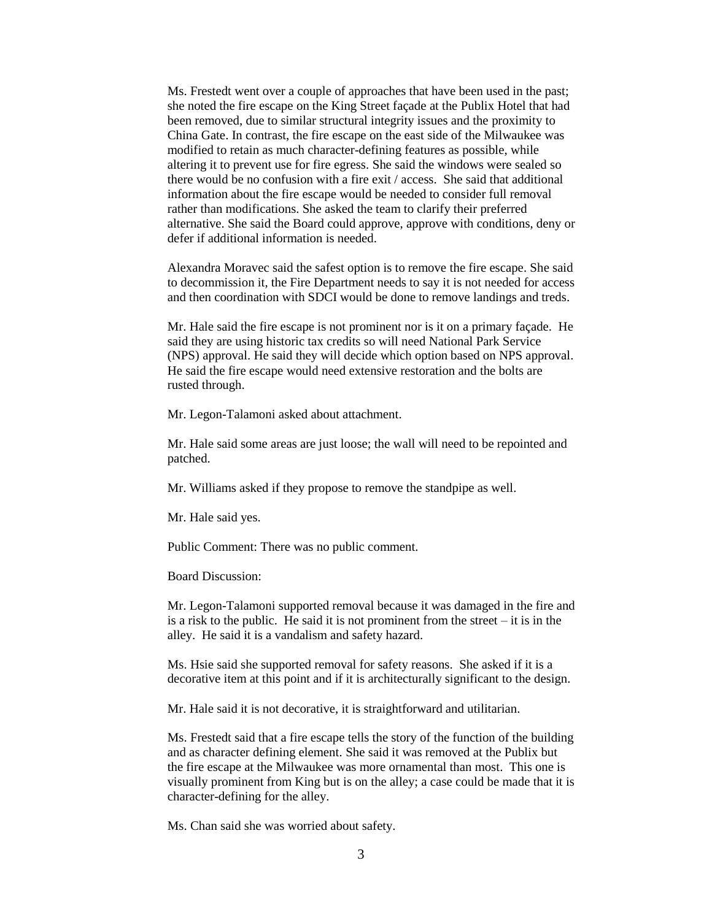Ms. Frestedt went over a couple of approaches that have been used in the past; she noted the fire escape on the King Street façade at the Publix Hotel that had been removed, due to similar structural integrity issues and the proximity to China Gate. In contrast, the fire escape on the east side of the Milwaukee was modified to retain as much character-defining features as possible, while altering it to prevent use for fire egress. She said the windows were sealed so there would be no confusion with a fire exit / access. She said that additional information about the fire escape would be needed to consider full removal rather than modifications. She asked the team to clarify their preferred alternative. She said the Board could approve, approve with conditions, deny or defer if additional information is needed.

Alexandra Moravec said the safest option is to remove the fire escape. She said to decommission it, the Fire Department needs to say it is not needed for access and then coordination with SDCI would be done to remove landings and treds.

Mr. Hale said the fire escape is not prominent nor is it on a primary façade. He said they are using historic tax credits so will need National Park Service (NPS) approval. He said they will decide which option based on NPS approval. He said the fire escape would need extensive restoration and the bolts are rusted through.

Mr. Legon-Talamoni asked about attachment.

Mr. Hale said some areas are just loose; the wall will need to be repointed and patched.

Mr. Williams asked if they propose to remove the standpipe as well.

Mr. Hale said yes.

Public Comment: There was no public comment.

Board Discussion:

Mr. Legon-Talamoni supported removal because it was damaged in the fire and is a risk to the public. He said it is not prominent from the street – it is in the alley. He said it is a vandalism and safety hazard.

Ms. Hsie said she supported removal for safety reasons. She asked if it is a decorative item at this point and if it is architecturally significant to the design.

Mr. Hale said it is not decorative, it is straightforward and utilitarian.

Ms. Frestedt said that a fire escape tells the story of the function of the building and as character defining element. She said it was removed at the Publix but the fire escape at the Milwaukee was more ornamental than most. This one is visually prominent from King but is on the alley; a case could be made that it is character-defining for the alley.

Ms. Chan said she was worried about safety.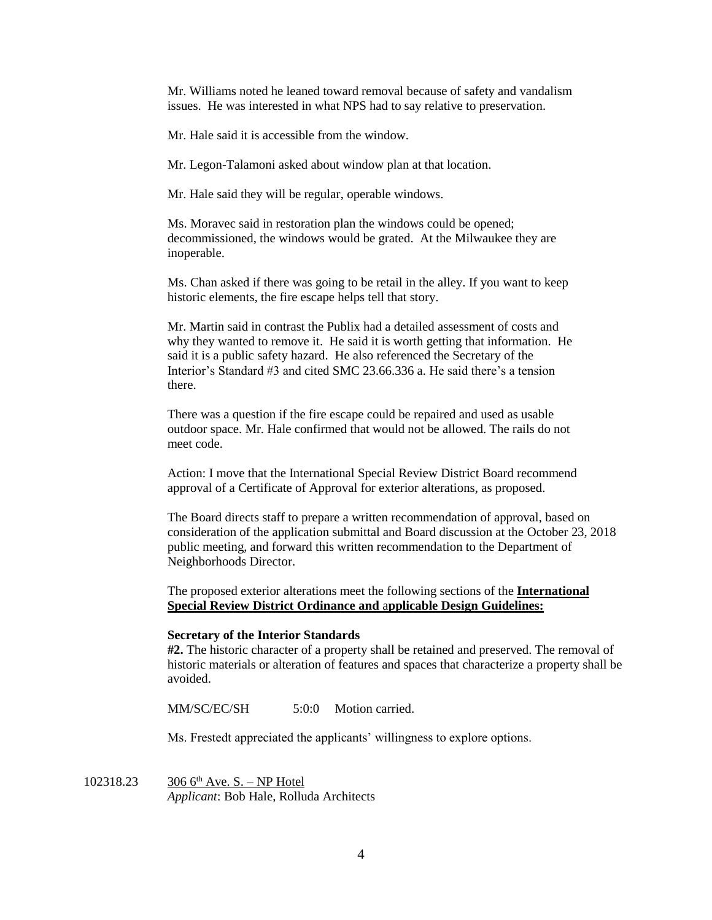Mr. Williams noted he leaned toward removal because of safety and vandalism issues. He was interested in what NPS had to say relative to preservation.

Mr. Hale said it is accessible from the window.

Mr. Legon-Talamoni asked about window plan at that location.

Mr. Hale said they will be regular, operable windows.

Ms. Moravec said in restoration plan the windows could be opened; decommissioned, the windows would be grated. At the Milwaukee they are inoperable.

Ms. Chan asked if there was going to be retail in the alley. If you want to keep historic elements, the fire escape helps tell that story.

Mr. Martin said in contrast the Publix had a detailed assessment of costs and why they wanted to remove it. He said it is worth getting that information. He said it is a public safety hazard. He also referenced the Secretary of the Interior's Standard #3 and cited SMC 23.66.336 a. He said there's a tension there.

There was a question if the fire escape could be repaired and used as usable outdoor space. Mr. Hale confirmed that would not be allowed. The rails do not meet code.

Action: I move that the International Special Review District Board recommend approval of a Certificate of Approval for exterior alterations, as proposed.

The Board directs staff to prepare a written recommendation of approval, based on consideration of the application submittal and Board discussion at the October 23, 2018 public meeting, and forward this written recommendation to the Department of Neighborhoods Director.

The proposed exterior alterations meet the following sections of the **International Special Review District Ordinance and** a**pplicable Design Guidelines:**

#### **Secretary of the Interior Standards**

**#2.** The historic character of a property shall be retained and preserved. The removal of historic materials or alteration of features and spaces that characterize a property shall be avoided.

MM/SC/EC/SH 5:0:0 Motion carried.

Ms. Frestedt appreciated the applicants' willingness to explore options.

102318.23  $306 6^{th}$  Ave. S. – NP Hotel *Applicant*: Bob Hale, Rolluda Architects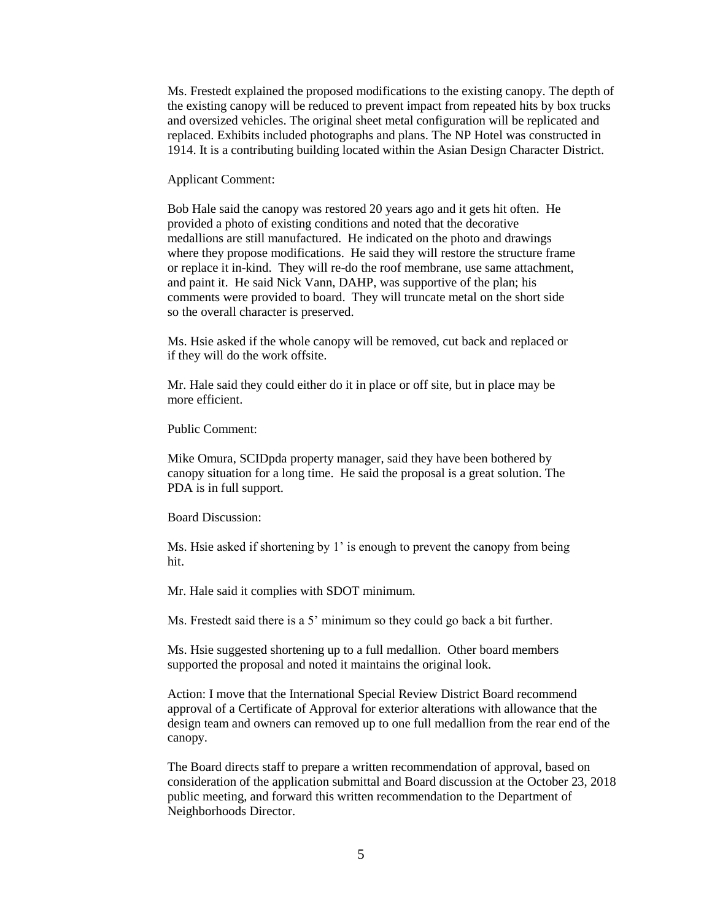Ms. Frestedt explained the proposed modifications to the existing canopy. The depth of the existing canopy will be reduced to prevent impact from repeated hits by box trucks and oversized vehicles. The original sheet metal configuration will be replicated and replaced. Exhibits included photographs and plans. The NP Hotel was constructed in 1914. It is a contributing building located within the Asian Design Character District.

Applicant Comment:

Bob Hale said the canopy was restored 20 years ago and it gets hit often. He provided a photo of existing conditions and noted that the decorative medallions are still manufactured. He indicated on the photo and drawings where they propose modifications. He said they will restore the structure frame or replace it in-kind. They will re-do the roof membrane, use same attachment, and paint it. He said Nick Vann, DAHP, was supportive of the plan; his comments were provided to board. They will truncate metal on the short side so the overall character is preserved.

Ms. Hsie asked if the whole canopy will be removed, cut back and replaced or if they will do the work offsite.

Mr. Hale said they could either do it in place or off site, but in place may be more efficient.

Public Comment:

Mike Omura, SCIDpda property manager, said they have been bothered by canopy situation for a long time. He said the proposal is a great solution. The PDA is in full support.

Board Discussion:

Ms. Hsie asked if shortening by 1' is enough to prevent the canopy from being hit.

Mr. Hale said it complies with SDOT minimum.

Ms. Frestedt said there is a 5' minimum so they could go back a bit further.

Ms. Hsie suggested shortening up to a full medallion. Other board members supported the proposal and noted it maintains the original look.

Action: I move that the International Special Review District Board recommend approval of a Certificate of Approval for exterior alterations with allowance that the design team and owners can removed up to one full medallion from the rear end of the canopy.

The Board directs staff to prepare a written recommendation of approval, based on consideration of the application submittal and Board discussion at the October 23, 2018 public meeting, and forward this written recommendation to the Department of Neighborhoods Director.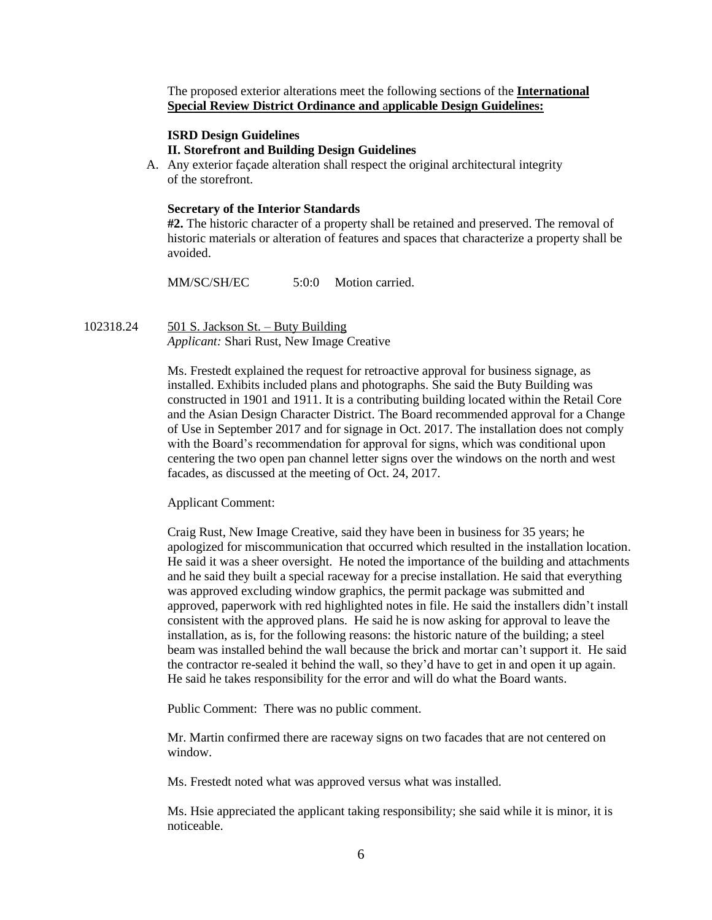The proposed exterior alterations meet the following sections of the **International Special Review District Ordinance and** a**pplicable Design Guidelines:**

# **ISRD Design Guidelines**

### **II. Storefront and Building Design Guidelines**

A. Any exterior façade alteration shall respect the original architectural integrity of the storefront.

### **Secretary of the Interior Standards**

**#2.** The historic character of a property shall be retained and preserved. The removal of historic materials or alteration of features and spaces that characterize a property shall be avoided.

MM/SC/SH/EC 5:0:0 Motion carried.

102318.24 501 S. Jackson St. – Buty Building *Applicant:* Shari Rust, New Image Creative

> Ms. Frestedt explained the request for retroactive approval for business signage, as installed. Exhibits included plans and photographs. She said the Buty Building was constructed in 1901 and 1911. It is a contributing building located within the Retail Core and the Asian Design Character District. The Board recommended approval for a Change of Use in September 2017 and for signage in Oct. 2017. The installation does not comply with the Board's recommendation for approval for signs, which was conditional upon centering the two open pan channel letter signs over the windows on the north and west facades, as discussed at the meeting of Oct. 24, 2017.

### Applicant Comment:

Craig Rust, New Image Creative, said they have been in business for 35 years; he apologized for miscommunication that occurred which resulted in the installation location. He said it was a sheer oversight. He noted the importance of the building and attachments and he said they built a special raceway for a precise installation. He said that everything was approved excluding window graphics, the permit package was submitted and approved, paperwork with red highlighted notes in file. He said the installers didn't install consistent with the approved plans. He said he is now asking for approval to leave the installation, as is, for the following reasons: the historic nature of the building; a steel beam was installed behind the wall because the brick and mortar can't support it. He said the contractor re-sealed it behind the wall, so they'd have to get in and open it up again. He said he takes responsibility for the error and will do what the Board wants.

Public Comment: There was no public comment.

Mr. Martin confirmed there are raceway signs on two facades that are not centered on window.

Ms. Frestedt noted what was approved versus what was installed.

Ms. Hsie appreciated the applicant taking responsibility; she said while it is minor, it is noticeable.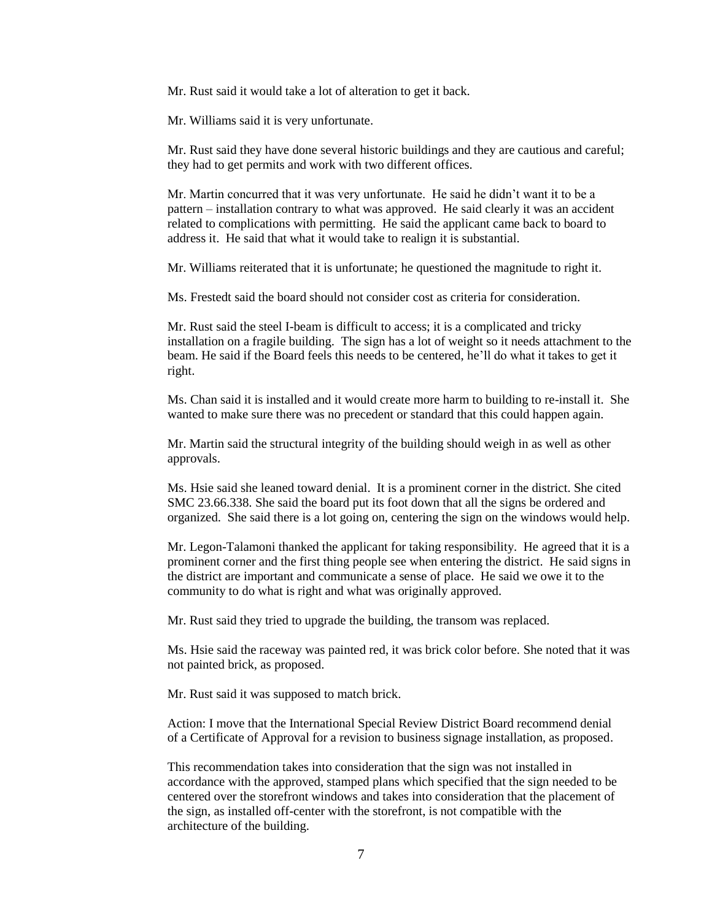Mr. Rust said it would take a lot of alteration to get it back.

Mr. Williams said it is very unfortunate.

Mr. Rust said they have done several historic buildings and they are cautious and careful; they had to get permits and work with two different offices.

Mr. Martin concurred that it was very unfortunate. He said he didn't want it to be a pattern – installation contrary to what was approved. He said clearly it was an accident related to complications with permitting. He said the applicant came back to board to address it. He said that what it would take to realign it is substantial.

Mr. Williams reiterated that it is unfortunate; he questioned the magnitude to right it.

Ms. Frestedt said the board should not consider cost as criteria for consideration.

Mr. Rust said the steel I-beam is difficult to access; it is a complicated and tricky installation on a fragile building. The sign has a lot of weight so it needs attachment to the beam. He said if the Board feels this needs to be centered, he'll do what it takes to get it right.

Ms. Chan said it is installed and it would create more harm to building to re-install it. She wanted to make sure there was no precedent or standard that this could happen again.

Mr. Martin said the structural integrity of the building should weigh in as well as other approvals.

Ms. Hsie said she leaned toward denial. It is a prominent corner in the district. She cited SMC 23.66.338. She said the board put its foot down that all the signs be ordered and organized. She said there is a lot going on, centering the sign on the windows would help.

Mr. Legon-Talamoni thanked the applicant for taking responsibility. He agreed that it is a prominent corner and the first thing people see when entering the district. He said signs in the district are important and communicate a sense of place. He said we owe it to the community to do what is right and what was originally approved.

Mr. Rust said they tried to upgrade the building, the transom was replaced.

Ms. Hsie said the raceway was painted red, it was brick color before. She noted that it was not painted brick, as proposed.

Mr. Rust said it was supposed to match brick.

Action: I move that the International Special Review District Board recommend denial of a Certificate of Approval for a revision to business signage installation, as proposed.

This recommendation takes into consideration that the sign was not installed in accordance with the approved, stamped plans which specified that the sign needed to be centered over the storefront windows and takes into consideration that the placement of the sign, as installed off-center with the storefront, is not compatible with the architecture of the building.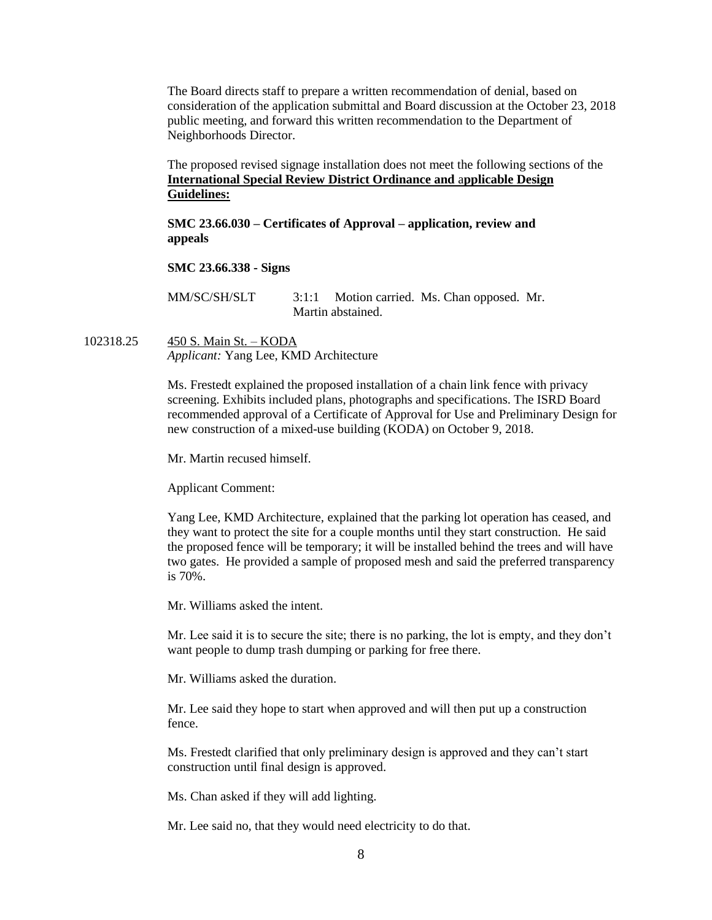The Board directs staff to prepare a written recommendation of denial, based on consideration of the application submittal and Board discussion at the October 23, 2018 public meeting, and forward this written recommendation to the Department of Neighborhoods Director.

The proposed revised signage installation does not meet the following sections of the **International Special Review District Ordinance and** a**pplicable Design Guidelines:**

**SMC 23.66.030 – Certificates of Approval – application, review and appeals** 

**SMC 23.66.338 - Signs**

MM/SC/SH/SLT 3:1:1 Motion carried. Ms. Chan opposed. Mr. Martin abstained.

102318.25 450 S. Main St. – KODA *Applicant:* Yang Lee, KMD Architecture

> Ms. Frestedt explained the proposed installation of a chain link fence with privacy screening. Exhibits included plans, photographs and specifications. The ISRD Board recommended approval of a Certificate of Approval for Use and Preliminary Design for new construction of a mixed-use building (KODA) on October 9, 2018.

Mr. Martin recused himself.

Applicant Comment:

Yang Lee, KMD Architecture, explained that the parking lot operation has ceased, and they want to protect the site for a couple months until they start construction. He said the proposed fence will be temporary; it will be installed behind the trees and will have two gates. He provided a sample of proposed mesh and said the preferred transparency is 70%.

Mr. Williams asked the intent.

Mr. Lee said it is to secure the site; there is no parking, the lot is empty, and they don't want people to dump trash dumping or parking for free there.

Mr. Williams asked the duration.

Mr. Lee said they hope to start when approved and will then put up a construction fence.

Ms. Frestedt clarified that only preliminary design is approved and they can't start construction until final design is approved.

Ms. Chan asked if they will add lighting.

Mr. Lee said no, that they would need electricity to do that.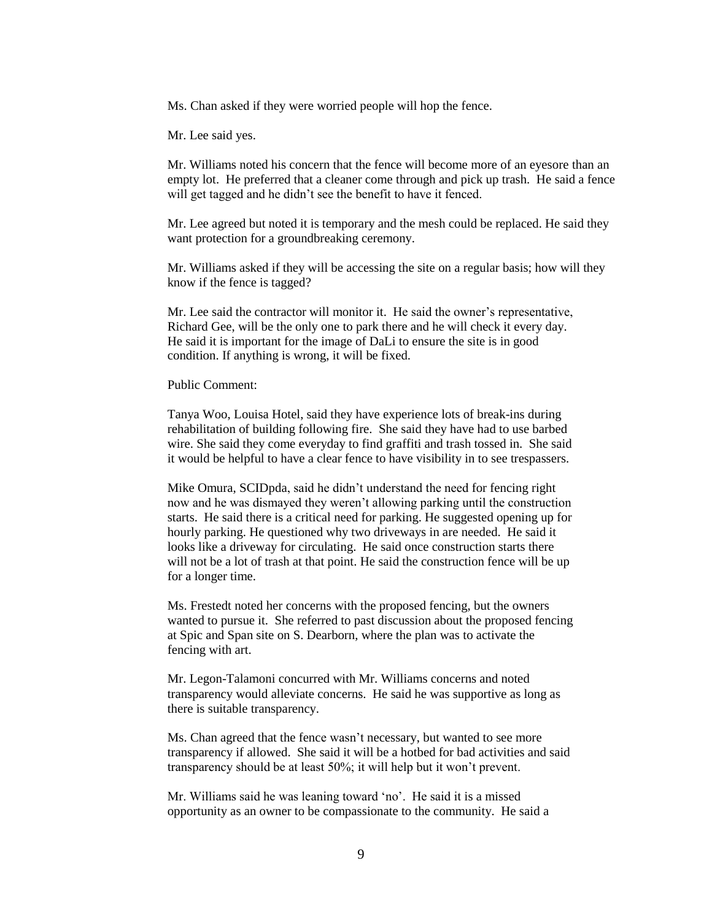Ms. Chan asked if they were worried people will hop the fence.

Mr. Lee said yes.

Mr. Williams noted his concern that the fence will become more of an eyesore than an empty lot. He preferred that a cleaner come through and pick up trash. He said a fence will get tagged and he didn't see the benefit to have it fenced.

Mr. Lee agreed but noted it is temporary and the mesh could be replaced. He said they want protection for a groundbreaking ceremony.

Mr. Williams asked if they will be accessing the site on a regular basis; how will they know if the fence is tagged?

Mr. Lee said the contractor will monitor it. He said the owner's representative, Richard Gee, will be the only one to park there and he will check it every day. He said it is important for the image of DaLi to ensure the site is in good condition. If anything is wrong, it will be fixed.

Public Comment:

Tanya Woo, Louisa Hotel, said they have experience lots of break-ins during rehabilitation of building following fire. She said they have had to use barbed wire. She said they come everyday to find graffiti and trash tossed in. She said it would be helpful to have a clear fence to have visibility in to see trespassers.

Mike Omura, SCIDpda, said he didn't understand the need for fencing right now and he was dismayed they weren't allowing parking until the construction starts. He said there is a critical need for parking. He suggested opening up for hourly parking. He questioned why two driveways in are needed. He said it looks like a driveway for circulating. He said once construction starts there will not be a lot of trash at that point. He said the construction fence will be up for a longer time.

Ms. Frestedt noted her concerns with the proposed fencing, but the owners wanted to pursue it. She referred to past discussion about the proposed fencing at Spic and Span site on S. Dearborn, where the plan was to activate the fencing with art.

Mr. Legon-Talamoni concurred with Mr. Williams concerns and noted transparency would alleviate concerns. He said he was supportive as long as there is suitable transparency.

Ms. Chan agreed that the fence wasn't necessary, but wanted to see more transparency if allowed. She said it will be a hotbed for bad activities and said transparency should be at least 50%; it will help but it won't prevent.

Mr. Williams said he was leaning toward 'no'. He said it is a missed opportunity as an owner to be compassionate to the community. He said a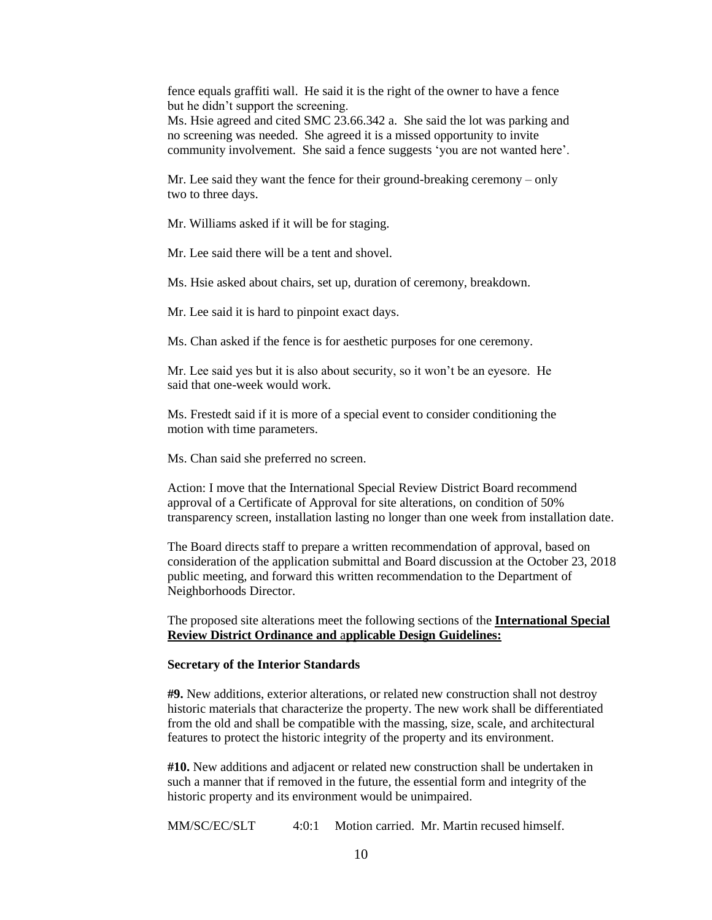fence equals graffiti wall. He said it is the right of the owner to have a fence but he didn't support the screening.

Ms. Hsie agreed and cited SMC 23.66.342 a. She said the lot was parking and no screening was needed. She agreed it is a missed opportunity to invite community involvement. She said a fence suggests 'you are not wanted here'.

Mr. Lee said they want the fence for their ground-breaking ceremony – only two to three days.

Mr. Williams asked if it will be for staging.

Mr. Lee said there will be a tent and shovel.

Ms. Hsie asked about chairs, set up, duration of ceremony, breakdown.

Mr. Lee said it is hard to pinpoint exact days.

Ms. Chan asked if the fence is for aesthetic purposes for one ceremony.

Mr. Lee said yes but it is also about security, so it won't be an eyesore. He said that one-week would work.

Ms. Frestedt said if it is more of a special event to consider conditioning the motion with time parameters.

Ms. Chan said she preferred no screen.

Action: I move that the International Special Review District Board recommend approval of a Certificate of Approval for site alterations, on condition of 50% transparency screen, installation lasting no longer than one week from installation date.

The Board directs staff to prepare a written recommendation of approval, based on consideration of the application submittal and Board discussion at the October 23, 2018 public meeting, and forward this written recommendation to the Department of Neighborhoods Director.

The proposed site alterations meet the following sections of the **International Special Review District Ordinance and** a**pplicable Design Guidelines:**

# **Secretary of the Interior Standards**

**#9.** New additions, exterior alterations, or related new construction shall not destroy historic materials that characterize the property. The new work shall be differentiated from the old and shall be compatible with the massing, size, scale, and architectural features to protect the historic integrity of the property and its environment.

**#10.** New additions and adjacent or related new construction shall be undertaken in such a manner that if removed in the future, the essential form and integrity of the historic property and its environment would be unimpaired.

MM/SC/EC/SLT 4:0:1 Motion carried. Mr. Martin recused himself.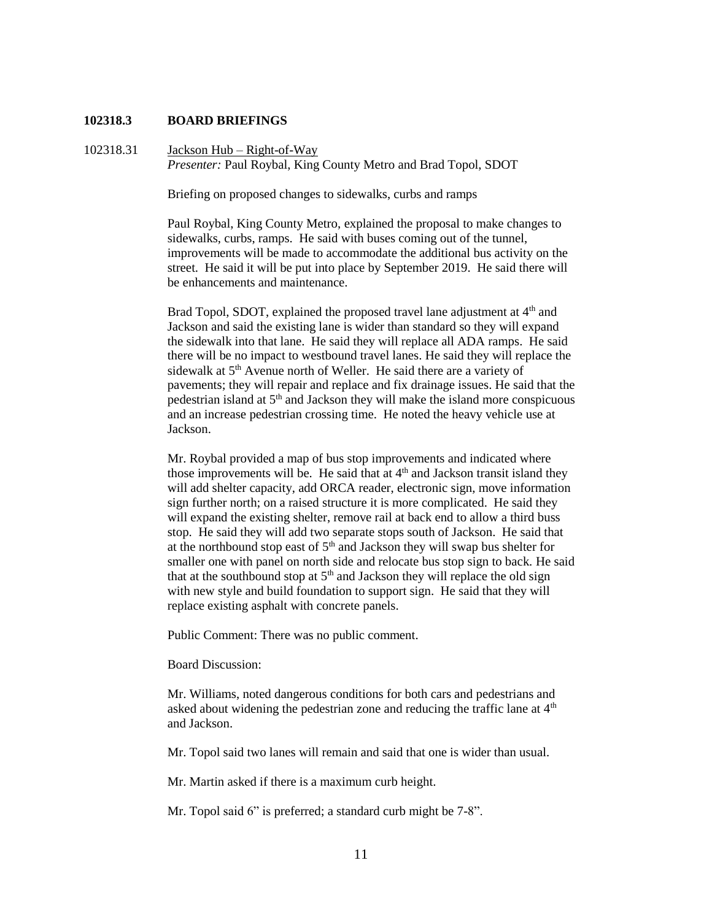### **102318.3 BOARD BRIEFINGS**

102318.31 Jackson Hub – Right-of-Way *Presenter:* Paul Roybal, King County Metro and Brad Topol, SDOT

Briefing on proposed changes to sidewalks, curbs and ramps

Paul Roybal, King County Metro, explained the proposal to make changes to sidewalks, curbs, ramps. He said with buses coming out of the tunnel, improvements will be made to accommodate the additional bus activity on the street. He said it will be put into place by September 2019. He said there will be enhancements and maintenance.

Brad Topol, SDOT, explained the proposed travel lane adjustment at 4<sup>th</sup> and Jackson and said the existing lane is wider than standard so they will expand the sidewalk into that lane. He said they will replace all ADA ramps. He said there will be no impact to westbound travel lanes. He said they will replace the sidewalk at 5<sup>th</sup> Avenue north of Weller. He said there are a variety of pavements; they will repair and replace and fix drainage issues. He said that the pedestrian island at  $5<sup>th</sup>$  and Jackson they will make the island more conspicuous and an increase pedestrian crossing time. He noted the heavy vehicle use at Jackson.

Mr. Roybal provided a map of bus stop improvements and indicated where those improvements will be. He said that at  $4<sup>th</sup>$  and Jackson transit island they will add shelter capacity, add ORCA reader, electronic sign, move information sign further north; on a raised structure it is more complicated. He said they will expand the existing shelter, remove rail at back end to allow a third buss stop. He said they will add two separate stops south of Jackson. He said that at the northbound stop east of  $5<sup>th</sup>$  and Jackson they will swap bus shelter for smaller one with panel on north side and relocate bus stop sign to back. He said that at the southbound stop at  $5<sup>th</sup>$  and Jackson they will replace the old sign with new style and build foundation to support sign. He said that they will replace existing asphalt with concrete panels.

Public Comment: There was no public comment.

Board Discussion:

Mr. Williams, noted dangerous conditions for both cars and pedestrians and asked about widening the pedestrian zone and reducing the traffic lane at  $4<sup>th</sup>$ and Jackson.

Mr. Topol said two lanes will remain and said that one is wider than usual.

Mr. Martin asked if there is a maximum curb height.

Mr. Topol said 6" is preferred; a standard curb might be 7-8".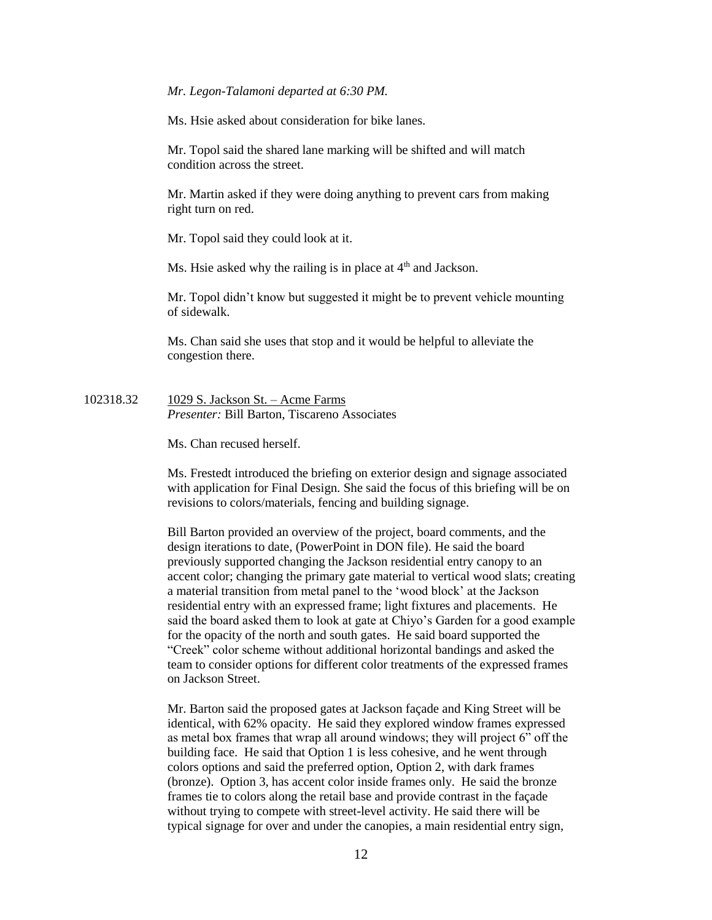### *Mr. Legon-Talamoni departed at 6:30 PM.*

Ms. Hsie asked about consideration for bike lanes.

Mr. Topol said the shared lane marking will be shifted and will match condition across the street.

Mr. Martin asked if they were doing anything to prevent cars from making right turn on red.

Mr. Topol said they could look at it.

Ms. Hsie asked why the railing is in place at  $4<sup>th</sup>$  and Jackson.

Mr. Topol didn't know but suggested it might be to prevent vehicle mounting of sidewalk.

Ms. Chan said she uses that stop and it would be helpful to alleviate the congestion there.

102318.32 1029 S. Jackson St. – Acme Farms *Presenter:* Bill Barton, Tiscareno Associates

Ms. Chan recused herself.

Ms. Frestedt introduced the briefing on exterior design and signage associated with application for Final Design. She said the focus of this briefing will be on revisions to colors/materials, fencing and building signage.

Bill Barton provided an overview of the project, board comments, and the design iterations to date, (PowerPoint in DON file). He said the board previously supported changing the Jackson residential entry canopy to an accent color; changing the primary gate material to vertical wood slats; creating a material transition from metal panel to the 'wood block' at the Jackson residential entry with an expressed frame; light fixtures and placements. He said the board asked them to look at gate at Chiyo's Garden for a good example for the opacity of the north and south gates. He said board supported the "Creek" color scheme without additional horizontal bandings and asked the team to consider options for different color treatments of the expressed frames on Jackson Street.

Mr. Barton said the proposed gates at Jackson façade and King Street will be identical, with 62% opacity. He said they explored window frames expressed as metal box frames that wrap all around windows; they will project 6" off the building face. He said that Option 1 is less cohesive, and he went through colors options and said the preferred option, Option 2, with dark frames (bronze). Option 3, has accent color inside frames only. He said the bronze frames tie to colors along the retail base and provide contrast in the façade without trying to compete with street-level activity. He said there will be typical signage for over and under the canopies, a main residential entry sign,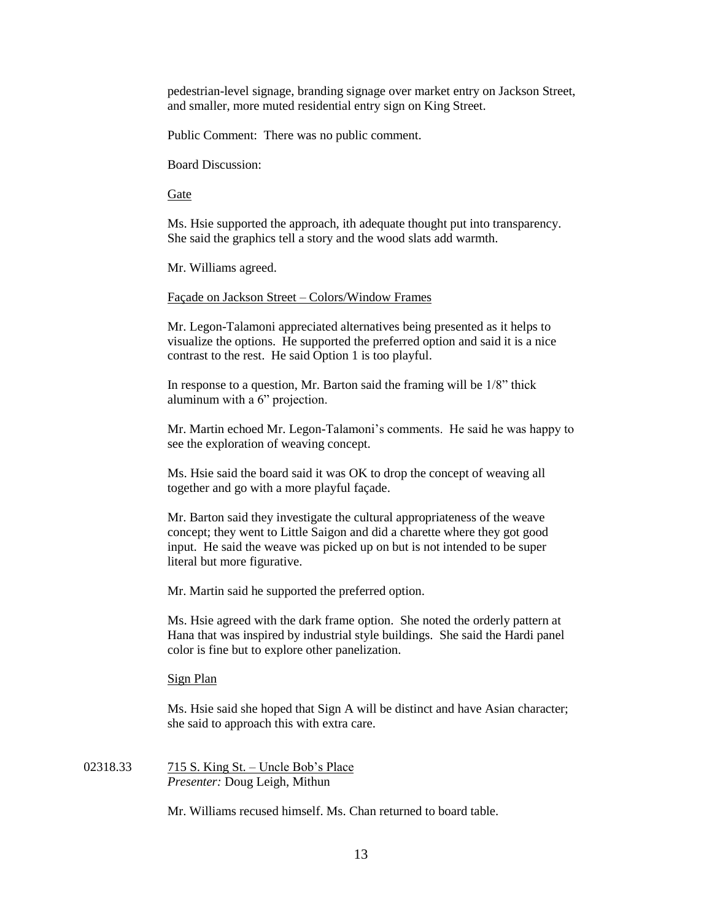pedestrian-level signage, branding signage over market entry on Jackson Street, and smaller, more muted residential entry sign on King Street.

Public Comment: There was no public comment.

Board Discussion:

Gate

Ms. Hsie supported the approach, ith adequate thought put into transparency. She said the graphics tell a story and the wood slats add warmth.

Mr. Williams agreed.

Façade on Jackson Street – Colors/Window Frames

Mr. Legon-Talamoni appreciated alternatives being presented as it helps to visualize the options. He supported the preferred option and said it is a nice contrast to the rest. He said Option 1 is too playful.

In response to a question, Mr. Barton said the framing will be 1/8" thick aluminum with a 6" projection.

Mr. Martin echoed Mr. Legon-Talamoni's comments. He said he was happy to see the exploration of weaving concept.

Ms. Hsie said the board said it was OK to drop the concept of weaving all together and go with a more playful façade.

Mr. Barton said they investigate the cultural appropriateness of the weave concept; they went to Little Saigon and did a charette where they got good input. He said the weave was picked up on but is not intended to be super literal but more figurative.

Mr. Martin said he supported the preferred option.

Ms. Hsie agreed with the dark frame option. She noted the orderly pattern at Hana that was inspired by industrial style buildings. She said the Hardi panel color is fine but to explore other panelization.

Sign Plan

Ms. Hsie said she hoped that Sign A will be distinct and have Asian character; she said to approach this with extra care.

02318.33 715 S. King St. – Uncle Bob's Place *Presenter:* Doug Leigh, Mithun

Mr. Williams recused himself. Ms. Chan returned to board table.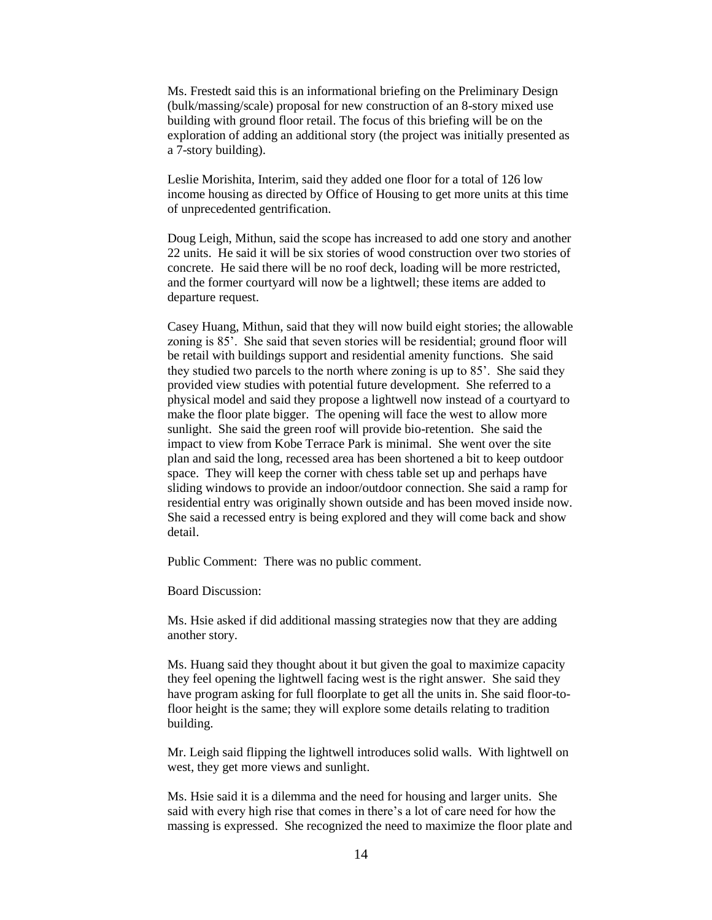Ms. Frestedt said this is an informational briefing on the Preliminary Design (bulk/massing/scale) proposal for new construction of an 8-story mixed use building with ground floor retail. The focus of this briefing will be on the exploration of adding an additional story (the project was initially presented as a 7-story building).

Leslie Morishita, Interim, said they added one floor for a total of 126 low income housing as directed by Office of Housing to get more units at this time of unprecedented gentrification.

Doug Leigh, Mithun, said the scope has increased to add one story and another 22 units. He said it will be six stories of wood construction over two stories of concrete. He said there will be no roof deck, loading will be more restricted, and the former courtyard will now be a lightwell; these items are added to departure request.

Casey Huang, Mithun, said that they will now build eight stories; the allowable zoning is 85'. She said that seven stories will be residential; ground floor will be retail with buildings support and residential amenity functions. She said they studied two parcels to the north where zoning is up to 85'. She said they provided view studies with potential future development. She referred to a physical model and said they propose a lightwell now instead of a courtyard to make the floor plate bigger. The opening will face the west to allow more sunlight. She said the green roof will provide bio-retention. She said the impact to view from Kobe Terrace Park is minimal. She went over the site plan and said the long, recessed area has been shortened a bit to keep outdoor space. They will keep the corner with chess table set up and perhaps have sliding windows to provide an indoor/outdoor connection. She said a ramp for residential entry was originally shown outside and has been moved inside now. She said a recessed entry is being explored and they will come back and show detail.

Public Comment: There was no public comment.

Board Discussion:

Ms. Hsie asked if did additional massing strategies now that they are adding another story.

Ms. Huang said they thought about it but given the goal to maximize capacity they feel opening the lightwell facing west is the right answer. She said they have program asking for full floorplate to get all the units in. She said floor-tofloor height is the same; they will explore some details relating to tradition building.

Mr. Leigh said flipping the lightwell introduces solid walls. With lightwell on west, they get more views and sunlight.

Ms. Hsie said it is a dilemma and the need for housing and larger units. She said with every high rise that comes in there's a lot of care need for how the massing is expressed. She recognized the need to maximize the floor plate and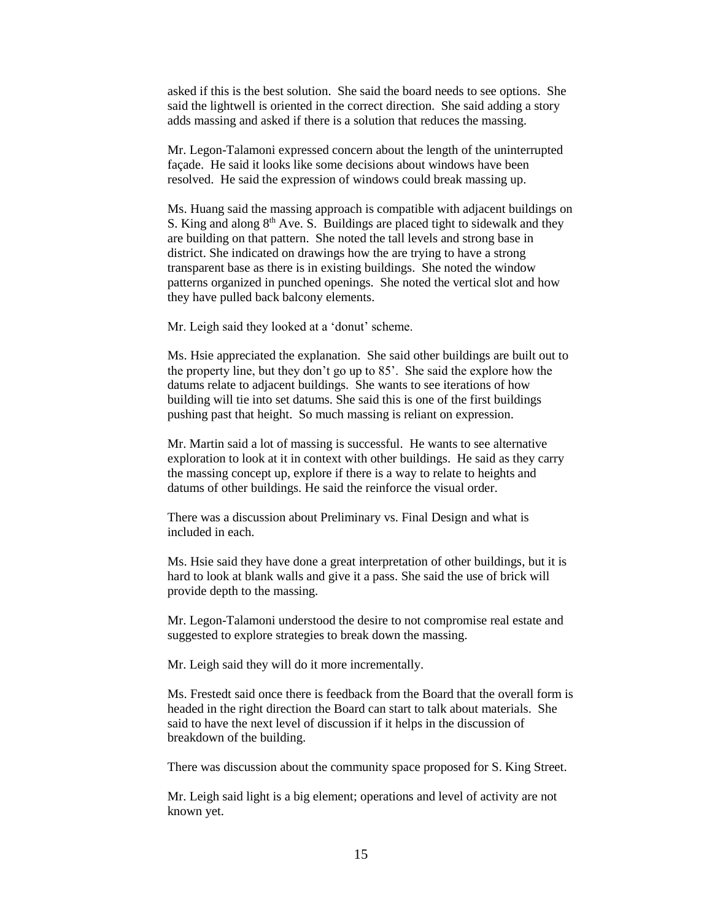asked if this is the best solution. She said the board needs to see options. She said the lightwell is oriented in the correct direction. She said adding a story adds massing and asked if there is a solution that reduces the massing.

Mr. Legon-Talamoni expressed concern about the length of the uninterrupted façade. He said it looks like some decisions about windows have been resolved. He said the expression of windows could break massing up.

Ms. Huang said the massing approach is compatible with adjacent buildings on S. King and along  $8<sup>th</sup>$  Ave. S. Buildings are placed tight to sidewalk and they are building on that pattern. She noted the tall levels and strong base in district. She indicated on drawings how the are trying to have a strong transparent base as there is in existing buildings. She noted the window patterns organized in punched openings. She noted the vertical slot and how they have pulled back balcony elements.

Mr. Leigh said they looked at a 'donut' scheme.

Ms. Hsie appreciated the explanation. She said other buildings are built out to the property line, but they don't go up to 85'. She said the explore how the datums relate to adjacent buildings. She wants to see iterations of how building will tie into set datums. She said this is one of the first buildings pushing past that height. So much massing is reliant on expression.

Mr. Martin said a lot of massing is successful. He wants to see alternative exploration to look at it in context with other buildings. He said as they carry the massing concept up, explore if there is a way to relate to heights and datums of other buildings. He said the reinforce the visual order.

There was a discussion about Preliminary vs. Final Design and what is included in each.

Ms. Hsie said they have done a great interpretation of other buildings, but it is hard to look at blank walls and give it a pass. She said the use of brick will provide depth to the massing.

Mr. Legon-Talamoni understood the desire to not compromise real estate and suggested to explore strategies to break down the massing.

Mr. Leigh said they will do it more incrementally.

Ms. Frestedt said once there is feedback from the Board that the overall form is headed in the right direction the Board can start to talk about materials. She said to have the next level of discussion if it helps in the discussion of breakdown of the building.

There was discussion about the community space proposed for S. King Street.

Mr. Leigh said light is a big element; operations and level of activity are not known yet.